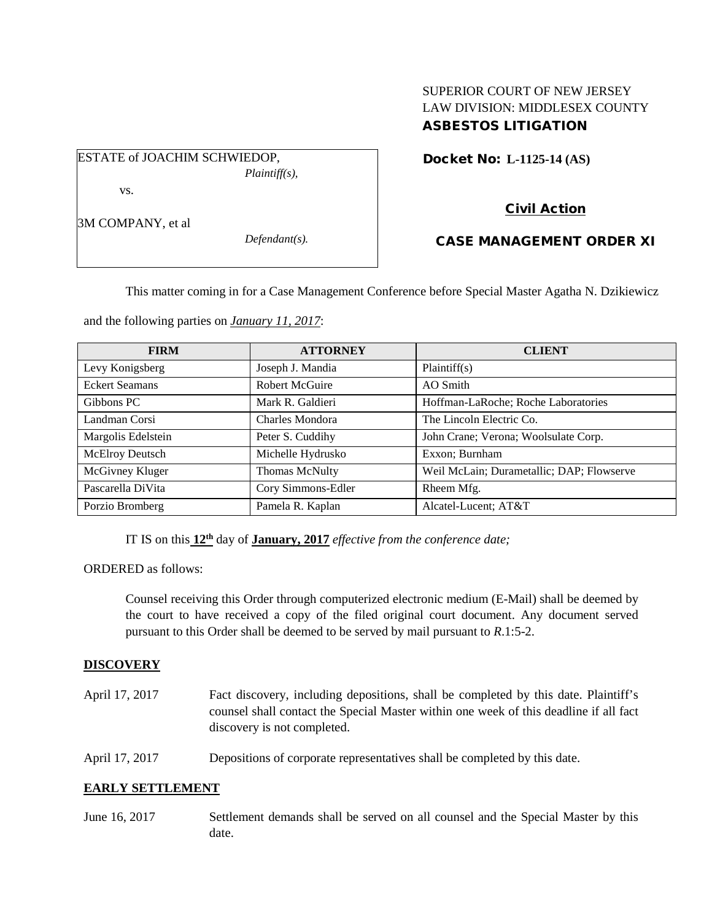# SUPERIOR COURT OF NEW JERSEY LAW DIVISION: MIDDLESEX COUNTY ASBESTOS LITIGATION

Docket No: **L-1125-14 (AS)** 

Civil Action

3M COMPANY, et al

vs.

ESTATE of JOACHIM SCHWIEDOP,

*Defendant(s).*

*Plaintiff(s),*

# CASE MANAGEMENT ORDER XI

This matter coming in for a Case Management Conference before Special Master Agatha N. Dzikiewicz

and the following parties on *January 11, 2017*:

| <b>FIRM</b>           | <b>ATTORNEY</b>       | <b>CLIENT</b>                             |
|-----------------------|-----------------------|-------------------------------------------|
| Levy Konigsberg       | Joseph J. Mandia      | Plaintiff(s)                              |
| <b>Eckert Seamans</b> | <b>Robert McGuire</b> | AO Smith                                  |
| Gibbons PC            | Mark R. Galdieri      | Hoffman-LaRoche; Roche Laboratories       |
| Landman Corsi         | Charles Mondora       | The Lincoln Electric Co.                  |
| Margolis Edelstein    | Peter S. Cuddihy      | John Crane; Verona; Woolsulate Corp.      |
| McElroy Deutsch       | Michelle Hydrusko     | Exxon; Burnham                            |
| McGivney Kluger       | <b>Thomas McNulty</b> | Weil McLain; Durametallic; DAP; Flowserve |
| Pascarella DiVita     | Cory Simmons-Edler    | Rheem Mfg.                                |
| Porzio Bromberg       | Pamela R. Kaplan      | Alcatel-Lucent; AT&T                      |

IT IS on this **12th** day of **January, 2017** *effective from the conference date;*

ORDERED as follows:

Counsel receiving this Order through computerized electronic medium (E-Mail) shall be deemed by the court to have received a copy of the filed original court document. Any document served pursuant to this Order shall be deemed to be served by mail pursuant to *R*.1:5-2.

## **DISCOVERY**

- April 17, 2017 Fact discovery, including depositions, shall be completed by this date. Plaintiff's counsel shall contact the Special Master within one week of this deadline if all fact discovery is not completed.
- April 17, 2017 Depositions of corporate representatives shall be completed by this date.

## **EARLY SETTLEMENT**

June 16, 2017 Settlement demands shall be served on all counsel and the Special Master by this date.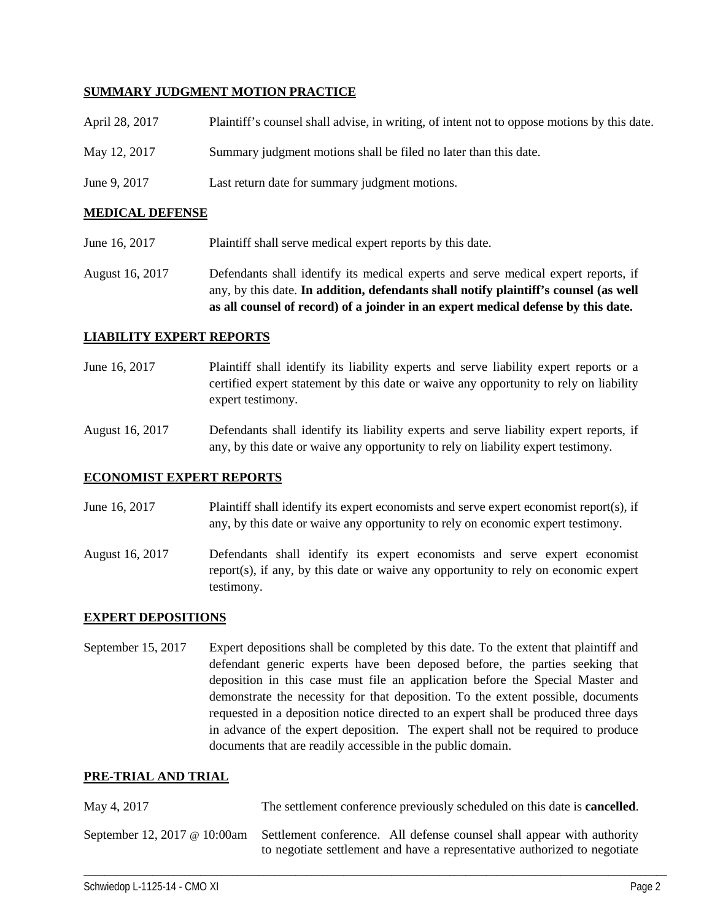### **SUMMARY JUDGMENT MOTION PRACTICE**

| April 28, 2017 | Plaintiff's counsel shall advise, in writing, of intent not to oppose motions by this date. |
|----------------|---------------------------------------------------------------------------------------------|
| May 12, 2017   | Summary judgment motions shall be filed no later than this date.                            |
| June 9, 2017   | Last return date for summary judgment motions.                                              |

#### **MEDICAL DEFENSE**

- June 16, 2017 Plaintiff shall serve medical expert reports by this date.
- August 16, 2017 Defendants shall identify its medical experts and serve medical expert reports, if any, by this date. **In addition, defendants shall notify plaintiff's counsel (as well as all counsel of record) of a joinder in an expert medical defense by this date.**

### **LIABILITY EXPERT REPORTS**

- June 16, 2017 Plaintiff shall identify its liability experts and serve liability expert reports or a certified expert statement by this date or waive any opportunity to rely on liability expert testimony.
- August 16, 2017 Defendants shall identify its liability experts and serve liability expert reports, if any, by this date or waive any opportunity to rely on liability expert testimony.

#### **ECONOMIST EXPERT REPORTS**

- June 16, 2017 Plaintiff shall identify its expert economists and serve expert economist report(s), if any, by this date or waive any opportunity to rely on economic expert testimony.
- August 16, 2017 Defendants shall identify its expert economists and serve expert economist report(s), if any, by this date or waive any opportunity to rely on economic expert testimony.

#### **EXPERT DEPOSITIONS**

September 15, 2017 Expert depositions shall be completed by this date. To the extent that plaintiff and defendant generic experts have been deposed before, the parties seeking that deposition in this case must file an application before the Special Master and demonstrate the necessity for that deposition. To the extent possible, documents requested in a deposition notice directed to an expert shall be produced three days in advance of the expert deposition. The expert shall not be required to produce documents that are readily accessible in the public domain.

#### **PRE-TRIAL AND TRIAL**

| May 4, 2017                  | The settlement conference previously scheduled on this date is <b>cancelled</b> .                                                                   |
|------------------------------|-----------------------------------------------------------------------------------------------------------------------------------------------------|
| September 12, 2017 @ 10:00am | Settlement conference. All defense counsel shall appear with authority<br>to negotiate settlement and have a representative authorized to negotiate |

\_\_\_\_\_\_\_\_\_\_\_\_\_\_\_\_\_\_\_\_\_\_\_\_\_\_\_\_\_\_\_\_\_\_\_\_\_\_\_\_\_\_\_\_\_\_\_\_\_\_\_\_\_\_\_\_\_\_\_\_\_\_\_\_\_\_\_\_\_\_\_\_\_\_\_\_\_\_\_\_\_\_\_\_\_\_\_\_\_\_\_\_\_\_\_\_\_\_\_\_\_\_\_\_\_\_\_\_\_\_